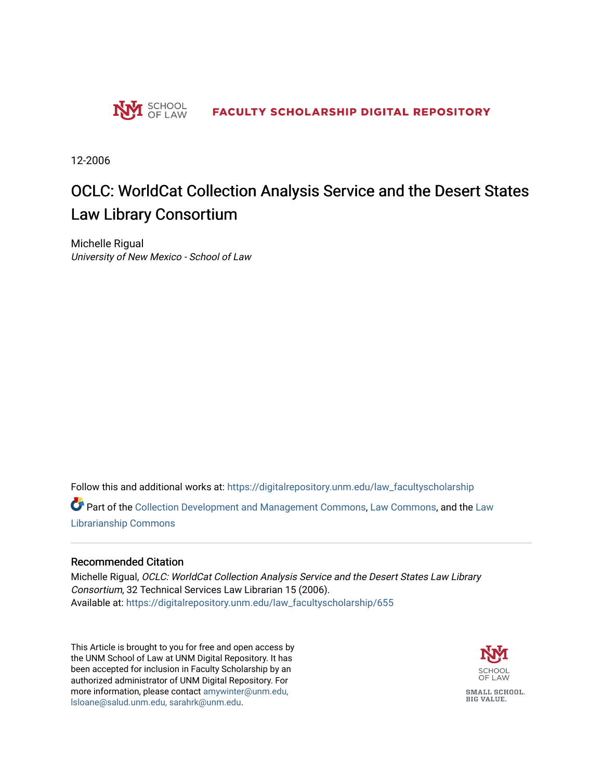

12-2006

# OCLC: WorldCat Collection Analysis Service and the Desert States Law Library Consortium

Michelle Rigual University of New Mexico - School of Law

Follow this and additional works at: [https://digitalrepository.unm.edu/law\\_facultyscholarship](https://digitalrepository.unm.edu/law_facultyscholarship?utm_source=digitalrepository.unm.edu%2Flaw_facultyscholarship%2F655&utm_medium=PDF&utm_campaign=PDFCoverPages) 

Part of the [Collection Development and Management Commons,](http://network.bepress.com/hgg/discipline/1271?utm_source=digitalrepository.unm.edu%2Flaw_facultyscholarship%2F655&utm_medium=PDF&utm_campaign=PDFCoverPages) [Law Commons](http://network.bepress.com/hgg/discipline/578?utm_source=digitalrepository.unm.edu%2Flaw_facultyscholarship%2F655&utm_medium=PDF&utm_campaign=PDFCoverPages), and the [Law](http://network.bepress.com/hgg/discipline/1393?utm_source=digitalrepository.unm.edu%2Flaw_facultyscholarship%2F655&utm_medium=PDF&utm_campaign=PDFCoverPages) [Librarianship Commons](http://network.bepress.com/hgg/discipline/1393?utm_source=digitalrepository.unm.edu%2Flaw_facultyscholarship%2F655&utm_medium=PDF&utm_campaign=PDFCoverPages)

#### Recommended Citation

Michelle Rigual, OCLC: WorldCat Collection Analysis Service and the Desert States Law Library Consortium, 32 Technical Services Law Librarian 15 (2006). Available at: [https://digitalrepository.unm.edu/law\\_facultyscholarship/655](https://digitalrepository.unm.edu/law_facultyscholarship/655?utm_source=digitalrepository.unm.edu%2Flaw_facultyscholarship%2F655&utm_medium=PDF&utm_campaign=PDFCoverPages) 

This Article is brought to you for free and open access by the UNM School of Law at UNM Digital Repository. It has been accepted for inclusion in Faculty Scholarship by an authorized administrator of UNM Digital Repository. For more information, please contact [amywinter@unm.edu,](mailto:amywinter@unm.edu,%20lsloane@salud.unm.edu,%20sarahrk@unm.edu)  [lsloane@salud.unm.edu, sarahrk@unm.edu.](mailto:amywinter@unm.edu,%20lsloane@salud.unm.edu,%20sarahrk@unm.edu)

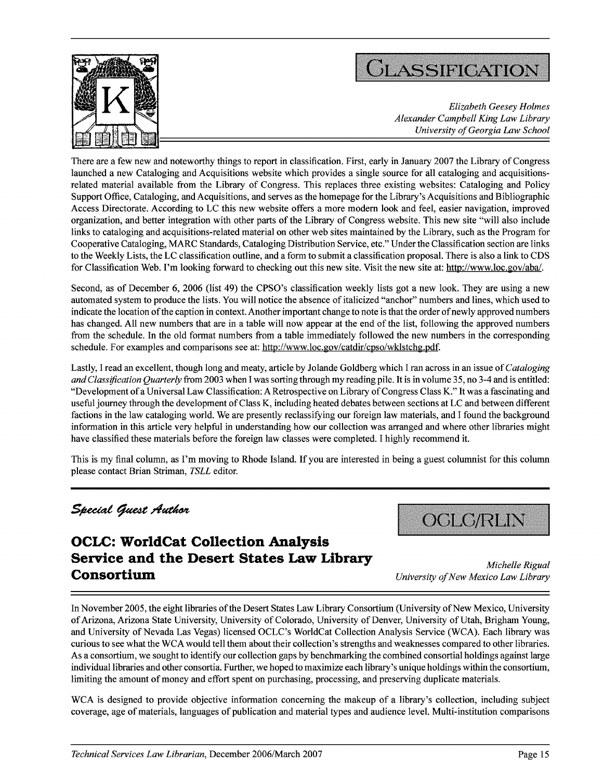



*Elizabeth Geesey Holmes Alexander Campbell King Law Library University of Georgia Law School*

There are a few new and noteworthy things to report in classification. First, early in January 2007 the Library of Congress launched a new Cataloging and Acquisitions website which provides a single source for all cataloging and acquisitionsrelated material available from the Library of Congress. This replaces three existing websites: Cataloging and Policy Support Office, Cataloging, and Acquisitions, and serves as the homepage for the Library's Acquisitions and Bibliographic Access Directorate. According to LC this new website offers a more modem look and feel, easier navigation, improved organization, and better integration with other parts of the Library of Congress website. This new site "will also include links to cataloging and acquisitions-related material on other web sites maintained by the Library, such as the Program for Cooperative Cataloging, MARC Standards, Cataloging Distribution Service, etc." Under the Classification section are links to the Weekly Lists, the LC classification outline, and a form to submit a classification proposal. There is also a link to CDS for Classification Web. I'm looking forward to checking out this new site. Visit the new site at: http://www.loc.gov/abal.

Second, as of December 6, 2006 (list 49) the CPSO's classification weekly lists got a new look. They are using a new automated system to produce the lists. You will notice the absence of italicized "anchor" numbers and lines, which used to indicate the location of the caption in context. Another important change to note is that the order of newly approved numbers has changed. All new numbers that are in a table will now appear at the end of the list, following the approved numbers from the schedule. In the old format numbers from a table immediately followed the new numbers in the corresponding schedule. For examples and comparisons see at: http://www.loc.gov/catdir/cpso/wklstchg.pdf.

Lastly, I read an excellent, though long and meaty, article by Jolande Goldberg which I ran across in an issue *of Cataloging and Classification Quarterly* from 2003 when I was sorting through my reading pile. It is in volume 35, no 3-4 and is entitled: "Development of a Universal Law Classification: A Retrospective on Library of Congress Class K." It was a fascinating and useful journey through the development of Class K, including heated debates between sections at LC and between different factions in the law cataloging world. We are presently reclassifying our foreign law materials, and I found the background information in this article very helpful in understanding how our collection was arranged and where other libraries might have classified these materials before the foreign law classes were completed. I highly recommend it.

This is my final column, as I'm moving to Rhode Island. If you are interested in being a guest columnist for this column please contact Brian Striman, *TSLL* editor.

# **OCLC: WorldCat Collection Analysis Service and the Desert States Law Library** *Michelle Rigual* **Consortium** *University of New Mexico Law Library*

**Special Guest Author because <b>of COLO/RLIN** 

In November 2005, the eight libraries of the Desert States Law Library Consortium (University of New Mexico, University of Arizona, Arizona State University, University of Colorado, University of Denver, University of Utah, Brigham Young, and University of Nevada Las Vegas) licensed OCLC's WorldCat Collection Analysis Service (WCA). Each library was curious to see what the WCA would tell them about their collection's strengths and weaknesses compared to other libraries. As a consortium, we sought to identify our collection gaps by benchmarking the combined consortial holdings against large individual libraries and other consortia. Further, we hoped to maximize each library's unique holdings within the consortium, limiting the amount of money and effort spent on purchasing, processing, and preserving duplicate materials.

WCA is designed to provide objective information concerning the makeup of a library's collection, including subject coverage, age of materials, languages of publication and material types and audience level. Multi-institution comparisons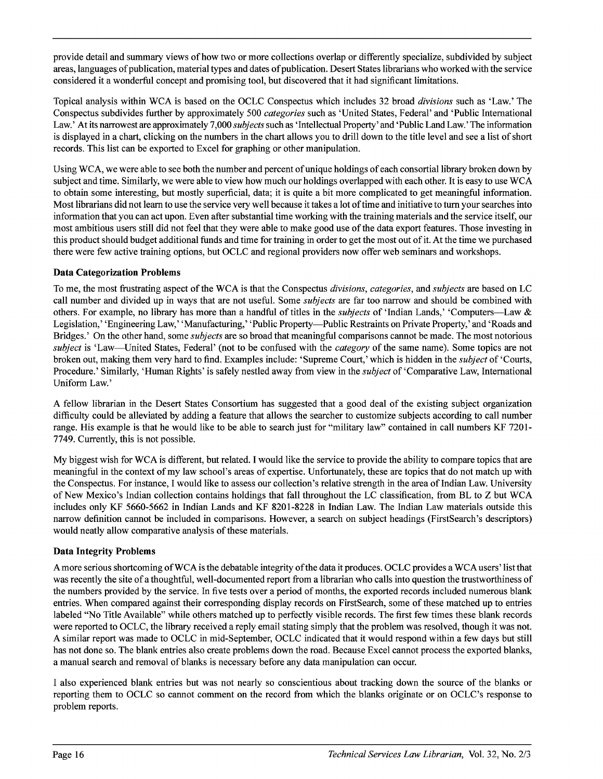provide detail and summary views of how two or more collections overlap or differently specialize, subdivided by subject areas, languages of publication, material types and dates of publication. Desert States librarians who worked with the service considered it a wonderful concept and promising tool, but discovered that it had significant limitations.

Topical analysis within WCA is based on the OCLC Conspectus which includes 32 broad *divisions* such as 'Law.' The Conspectus subdivides further by approximately 500 *categories* such as 'United States, Federal' and 'Public International Law.' At its narrowest are approximately 7,000 *subjects* such as 'Intellectual Property' and 'Public Land Law.' The information is displayed in a chart, clicking on the numbers in the chart allows you to drill down to the title level and see a list of short records. This list can be exported to Excel for graphing or other manipulation.

Using WCA, we were able to see both the number and percent of unique holdings of each consortial library broken down by subject and time. Similarly, we were able to view how much our holdings overlapped with each other. It is easy to use WCA to obtain some interesting, but mostly superficial, data; it is quite a bit more complicated to get meaningful information. Most librarians did not learn to use the service very well because it takes a lot of time and initiative to turn your searches into information that you can act upon. Even after substantial time working with the training materials and the service itself, our most ambitious users still did not feel that they were able to make good use of the data export features. Those investing in this product should budget additional funds and time for training in order to get the most out of it. At the time we purchased there were few active training options, but OCLC and regional providers now offer web seminars and workshops.

### Data Categorization Problems

To me, the most frustrating aspect of the WCA is that the Conspectus *divisions, categories, and subjects* are based on LC call number and divided up in ways that are not useful. Some *subjects* are far too narrow and should be combined with others. For example, no library has more than a handful of titles in the *subjects* of 'Indian Lands,' 'Computers-Law & Legislation,' 'Engineering Law,' 'Manufacturing,' 'Public Property-Public Restraints on Private Property,' and 'Roads and Bridges.' On the other hand, some *subjects* are so broad that meaningful comparisons cannot be made. The most notorious *subject* is 'Law-United States, Federal' (not to be confused with the *category* of the same name). Some topics are not broken out, making them very hard to find. Examples include: 'Supreme Court,' which is hidden in the *subject* of 'Courts, Procedure.' Similarly, 'Human Rights' is safely nestled away from view in the *subject* of 'Comparative Law, International Uniform Law.'

A fellow librarian in the Desert States Consortium has suggested that a good deal of the existing subject organization difficulty could be alleviated by adding a feature that allows the searcher to customize subjects according to call number range. His example is that he would like to be able to search just for "military law" contained in call numbers KF 7201-7749. Currently, this is not possible.

My biggest wish for WCA is different, but related. I would like the service to provide the ability to compare topics that are meaningful in the context of my law school's areas of expertise. Unfortunately, these are topics that do not match up with the Conspectus. For instance, I would like to assess our collection's relative strength in the area of Indian Law. University of New Mexico's Indian collection contains holdings that fall throughout the LC classification, from BL to Z but WCA includes only KF 5660-5662 in Indian Lands and KF 8201-8228 in Indian Law. The Indian Law materials outside this narrow definition cannot be included in comparisons. However, a search on subject headings (FirstSearch's descriptors) would neatly allow comparative analysis of these materials.

## Data Integrity Problems

**A** more serious shortcoming of WCAis the debatable integrity of the data it produces. **OCLC** provides a WCA users' list that was recently the site of a thoughtful, well-documented report from a librarian who calls into question the trustworthiness of the numbers provided by the service. In five tests over a period of months, the exported records included numerous blank entries. When compared against their corresponding display records on FirstSearch, some of these matched up to entries labeled "No Title Available" while others matched up to perfectly visible records. The first few times these blank records were reported to OCLC, the library received a reply email stating simply that the problem was resolved, though it was not. A similar report was made to OCLC in mid-September, OCLC indicated that it would respond within a few days but still has not done so. The blank entries also create problems down the road. Because Excel cannot process the exported blanks, a manual search and removal of blanks is necessary before any data manipulation can occur.

I also experienced blank entries but was not nearly so conscientious about tracking down the source of the blanks or reporting them to OCLC so cannot comment on the record from which the blanks originate or on OCLC's response to problem reports.